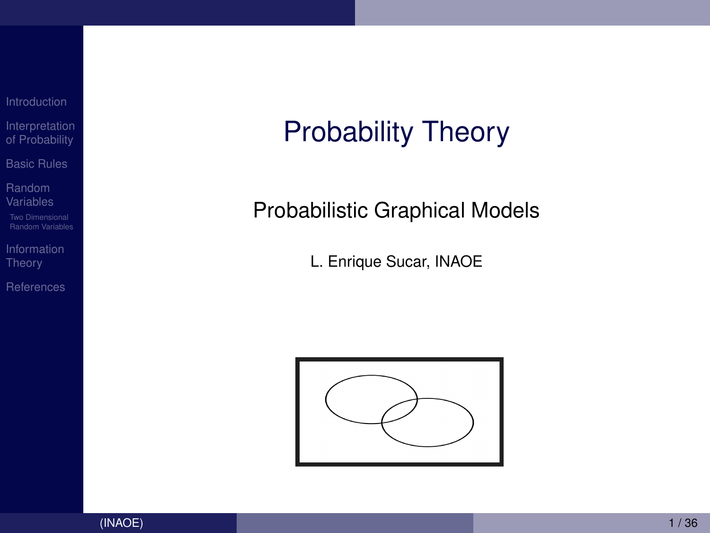[Interpretation](#page-3-0) of Probability [Basic Rules](#page-7-0)

Random [Variables](#page-14-0)

[Information](#page-27-0)

[References](#page-34-0)

# Probability Theory

### Probabilistic Graphical Models

L. Enrique Sucar, INAOE

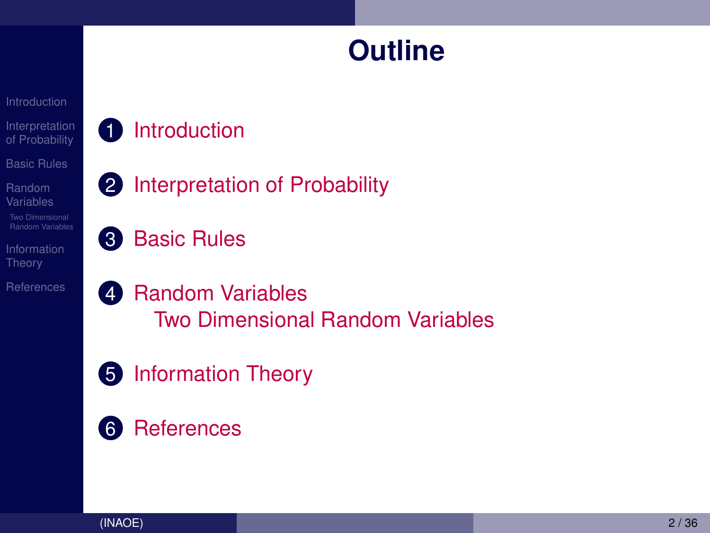### **Outline**

[Interpretation](#page-3-0) of Probability

- **1** [Introduction](#page-2-0)
- [Basic Rules](#page-7-0)
- Random
- 
- Theory
- **[References](#page-34-0)**
- 
- 2 [Interpretation of Probability](#page-3-0)
- **8** [Basic Rules](#page-7-0)
- 4 [Random Variables](#page-14-0) [Two Dimensional Random Variables](#page-22-0)
- **5** [Information Theory](#page-27-0)
- **6** [References](#page-34-0)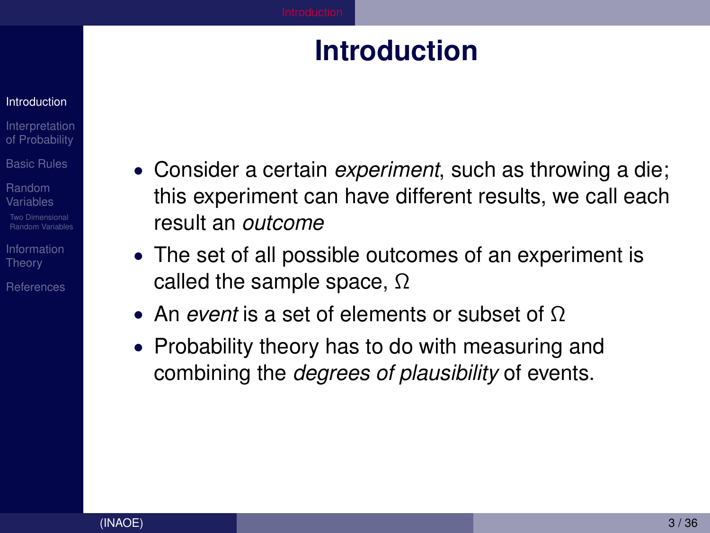### **Introduction**

#### <span id="page-2-0"></span>**[Introduction](#page-2-0)**

- **[Interpretation](#page-3-0)** of Probability
- [Basic Rules](#page-7-0)
- Random [Variables](#page-14-0)
- [Random Variables](#page-22-0)
- [Information](#page-27-0) **Theory**
- [References](#page-34-0)
- Consider a certain *experiment*, such as throwing a die; this experiment can have different results, we call each result an *outcome*
- The set of all possible outcomes of an experiment is called the sample space,  $\Omega$
- An *event* is a set of elements or subset of Ω
- Probability theory has to do with measuring and combining the *degrees of plausibility* of events.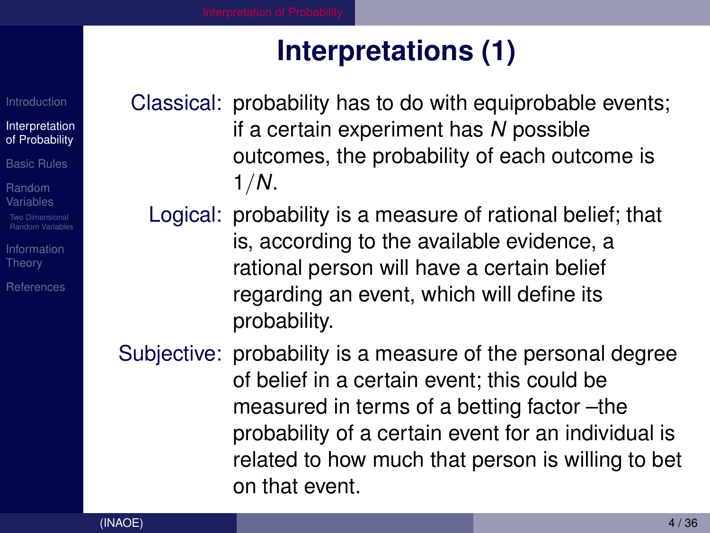# **Interpretations (1)**

[Introduction](#page-2-0)

[Interpretation](#page-3-0) of Probability

[Basic Rules](#page-7-0)

Random [Variables](#page-14-0) [Random Variables](#page-22-0)

**Theory** 

[References](#page-34-0)

<span id="page-3-0"></span>Classical: probability has to do with equiprobable events; if a certain experiment has *N* possible outcomes, the probability of each outcome is 1/*N*.

Logical: probability is a measure of rational belief; that is, according to the available evidence, a rational person will have a certain belief regarding an event, which will define its probability.

Subjective: probability is a measure of the personal degree of belief in a certain event; this could be measured in terms of a betting factor –the probability of a certain event for an individual is related to how much that person is willing to bet on that event.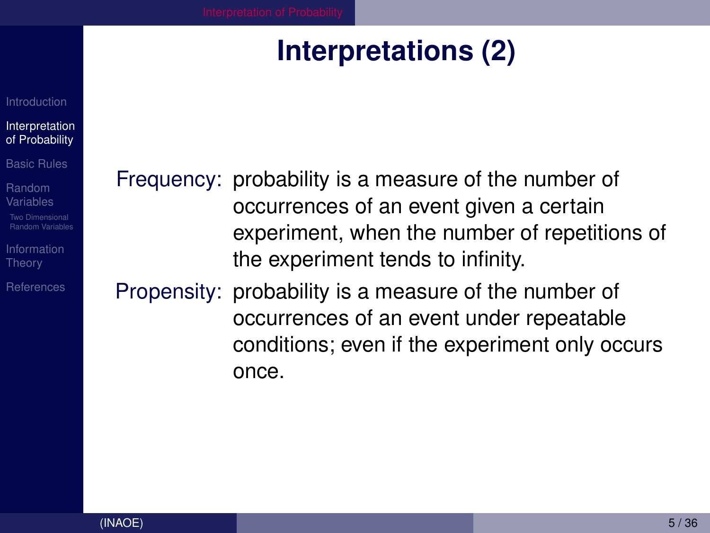# **Interpretations (2)**

#### <span id="page-4-0"></span>[Interpretation](#page-3-0) of Probability

[Basic Rules](#page-7-0)

Random [Variables](#page-14-0) am Variables

**Theory** 

[References](#page-34-0)

Frequency: probability is a measure of the number of occurrences of an event given a certain experiment, when the number of repetitions of the experiment tends to infinity.

Propensity: probability is a measure of the number of occurrences of an event under repeatable conditions; even if the experiment only occurs once.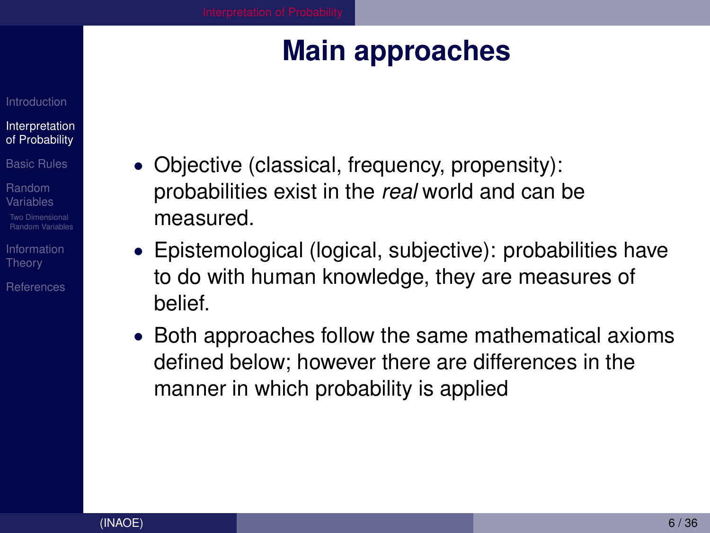# **Main approaches**

#### [Interpretation](#page-3-0) of Probability

[Basic Rules](#page-7-0)

Random [Variables](#page-14-0) am Variables

**Theory** 

[References](#page-34-0)

- <span id="page-5-0"></span>• Objective (classical, frequency, propensity): probabilities exist in the *real* world and can be measured.
- Epistemological (logical, subjective): probabilities have to do with human knowledge, they are measures of belief.
- Both approaches follow the same mathematical axioms defined below; however there are differences in the manner in which probability is applied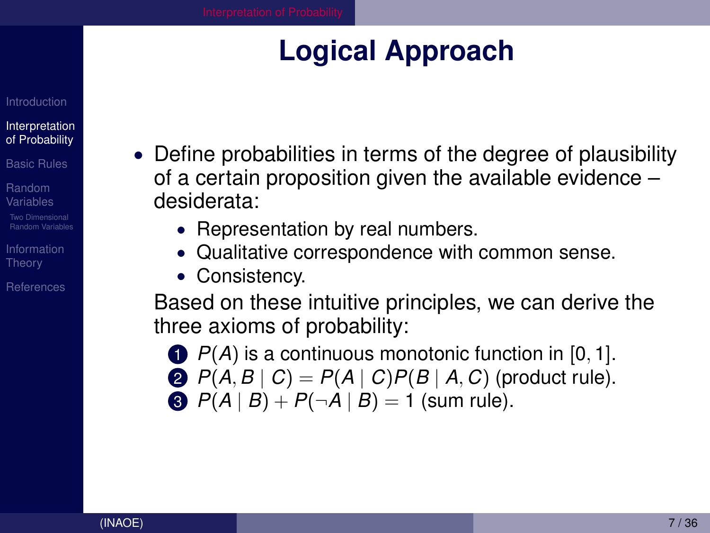# **Logical Approach**

#### [Interpretation](#page-3-0) of Probability

[Basic Rules](#page-7-0)

Random [Variables](#page-14-0)

[Random Variables](#page-22-0)

[Information](#page-27-0) **Theory** 

[References](#page-34-0)

- <span id="page-6-0"></span>• Define probabilities in terms of the degree of plausibility of a certain proposition given the available evidence – desiderata:
	- Representation by real numbers.
	- Qualitative correspondence with common sense.
	- Consistency.

Based on these intuitive principles, we can derive the three axioms of probability:

- **1** *P(A)* is a continuous monotonic function in [0, 1].
- 2  $P(A, B | C) = P(A | C)P(B | A, C)$  (product rule).
- $P(A | B) + P(\neg A | B) = 1$  (sum rule).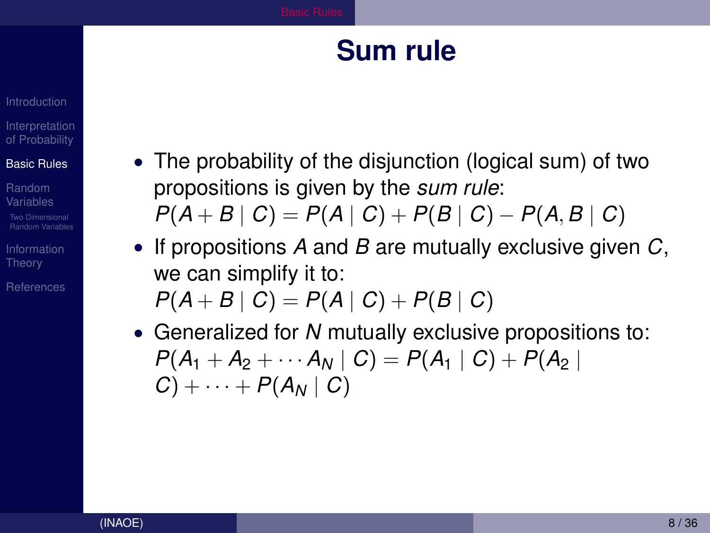### **Sum rule**

### <span id="page-7-0"></span>**[Interpretation](#page-3-0)** of Probability

### [Basic Rules](#page-7-0)

Random [Variables](#page-14-0)

**Theory** 

[References](#page-34-0)

- The probability of the disjunction (logical sum) of two propositions is given by the *sum rule*:  $P(A + B | C) = P(A | C) + P(B | C) - P(A, B | C)$
- If propositions *A* and *B* are mutually exclusive given *C*, we can simplify it to:

$$
P(A + B | C) = P(A | C) + P(B | C)
$$

• Generalized for *N* mutually exclusive propositions to:  $P(A_1 + A_2 + \cdots + A_N \mid C) = P(A_1 \mid C) + P(A_2 \mid C)$  $C$ ) +  $\cdots$  +  $P(A_N \mid C)$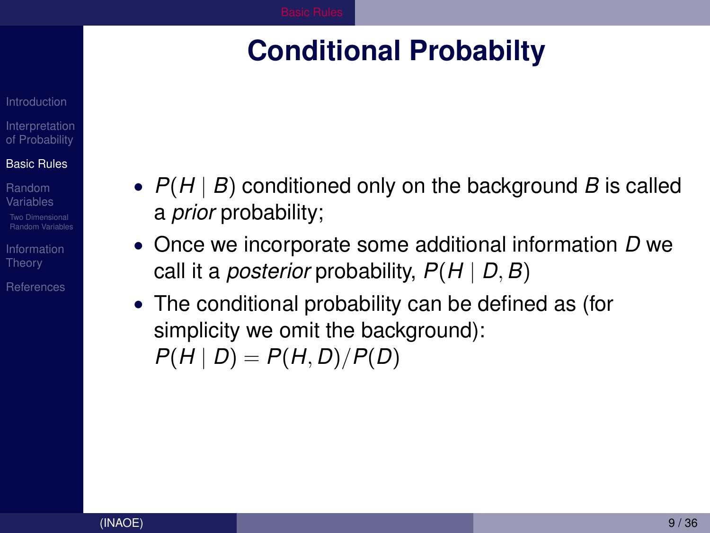## <span id="page-8-0"></span>**Conditional Probabilty**

### **[Interpretation](#page-3-0)** of Probability

### [Basic Rules](#page-7-0)

Random [Variables](#page-14-0)

**Theory** 

[References](#page-34-0)

- *P*(*H* | *B*) conditioned only on the background *B* is called a *prior* probability;
- Once we incorporate some additional information *D* we call it a *posterior* probability, *P*(*H* | *D*, *B*)
- The conditional probability can be defined as (for simplicity we omit the background):  $P(H | D) = P(H, D) / P(D)$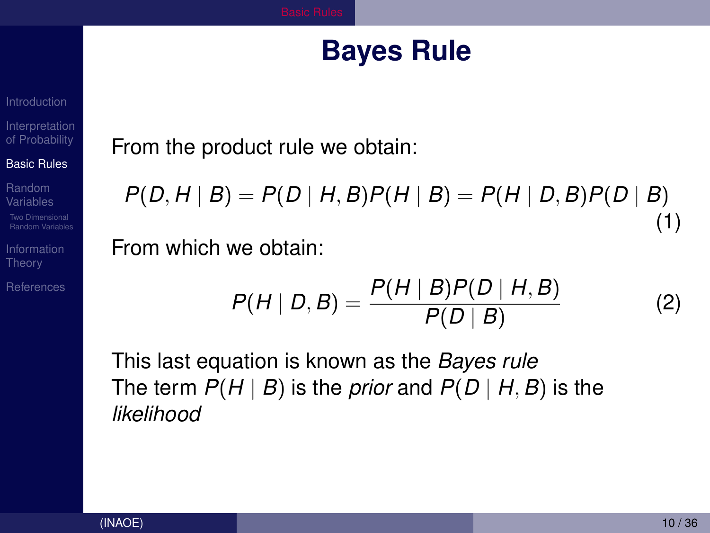### **Bayes Rule**

[Interpretation](#page-3-0) of Probability

#### [Basic Rules](#page-7-0)

Random

**Theory** 

**[References](#page-34-0)** 

### <span id="page-9-0"></span>From the product rule we obtain:

 $P(D, H | B) = P(D | H, B)P(H | B) = P(H | D, B)P(D | B)$ (1)

From which we obtain:

$$
P(H | D, B) = \frac{P(H | B)P(D | H, B)}{P(D | B)}
$$
(2)

This last equation is known as the *Bayes rule* The term  $P(H | B)$  is the *prior* and  $P(D | H, B)$  is the *likelihood*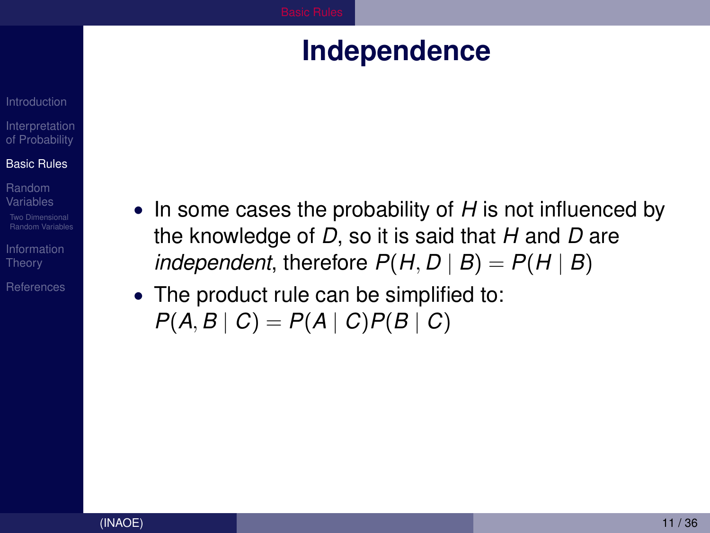### **Independence**

### <span id="page-10-0"></span>[Interpretation](#page-3-0) of Probability

#### [Basic Rules](#page-7-0)

Random [Variables](#page-14-0)

**Theory** 

**[References](#page-34-0)** 

- In some cases the probability of *H* is not influenced by the knowledge of *D*, so it is said that *H* and *D* are *independent*, therefore  $P(H, D | B) = P(H | B)$
- The product rule can be simplified to:  $P(A, B | C) = P(A | C)P(B | C)$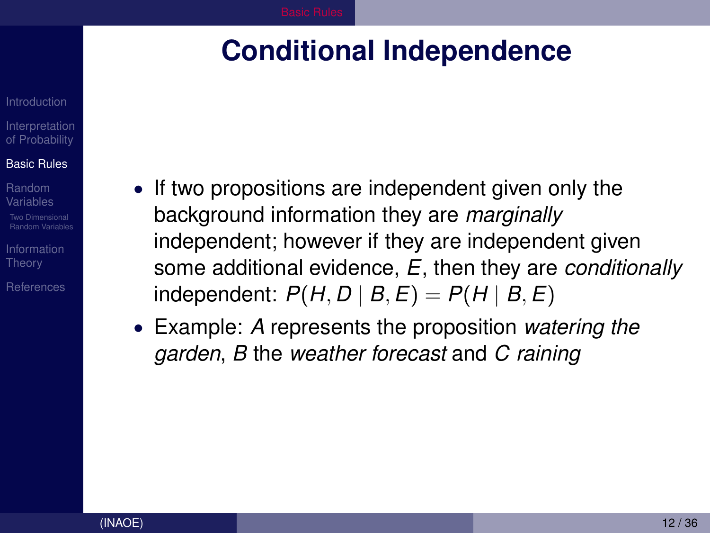### <span id="page-11-0"></span>**Conditional Independence**

**[Interpretation](#page-3-0)** of Probability

### [Basic Rules](#page-7-0)

- Random [Variables](#page-14-0) [Random Variables](#page-22-0)
- [Information](#page-27-0) **Theory**
- [References](#page-34-0)
- If two propositions are independent given only the background information they are *marginally* independent; however if they are independent given some additional evidence, *E*, then they are *conditionally*  $P(H, D | B, E) = P(H | B, E)$
- Example: *A* represents the proposition *watering the garden*, *B* the *weather forecast* and *C raining*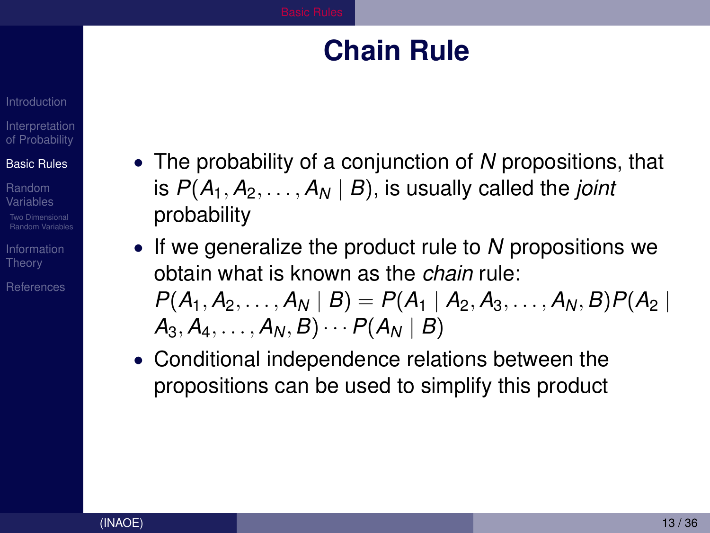### **Chain Rule**

### <span id="page-12-0"></span>**[Interpretation](#page-3-0)** of Probability

### [Basic Rules](#page-7-0)

Random [Variables](#page-14-0) Two Dimensional [Random Variables](#page-22-0)

**Theory** 

[References](#page-34-0)

- The probability of a conjunction of *N* propositions, that is  $P(A_1, A_2, \ldots, A_N | B)$ , is usually called the *joint* probability
- If we generalize the product rule to *N* propositions we obtain what is known as the *chain* rule:  $P(A_1, A_2, \ldots, A_N | B) = P(A_1 | A_2, A_3, \ldots, A_N, B) P(A_2 | B_3)$  $A_3, A_4, \ldots, A_N, B) \cdots P(A_N | B)$
- Conditional independence relations between the propositions can be used to simplify this product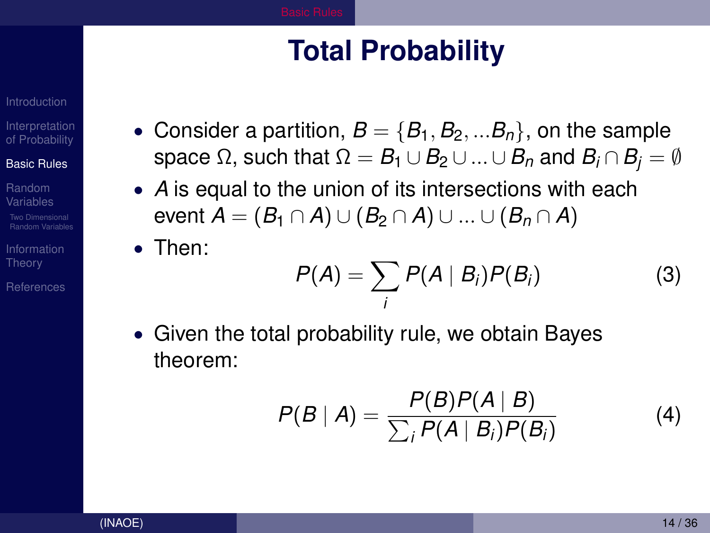# **Total Probability**

[Interpretation](#page-3-0) of Probability

#### [Basic Rules](#page-7-0)

Random [Variables](#page-14-0)

**Theory** 

[References](#page-34-0)

- <span id="page-13-0"></span>• Consider a partition,  $B = \{B_1, B_2, ... B_n\}$ , on the sample space  $\Omega$ , such that  $\Omega = B_1 \cup B_2 \cup ... \cup B_n$  and  $B_i \cap B_i = \emptyset$
- *A* is equal to the union of its intersections with each event  $A = (B_1 \cap A) \cup (B_2 \cap A) \cup ... \cup (B_n \cap A)$
- Then:

$$
P(A) = \sum_{i} P(A \mid B_i) P(B_i)
$$
 (3)

• Given the total probability rule, we obtain Bayes theorem:

$$
P(B | A) = \frac{P(B)P(A | B)}{\sum_i P(A | B_i)P(B_i)}
$$
(4)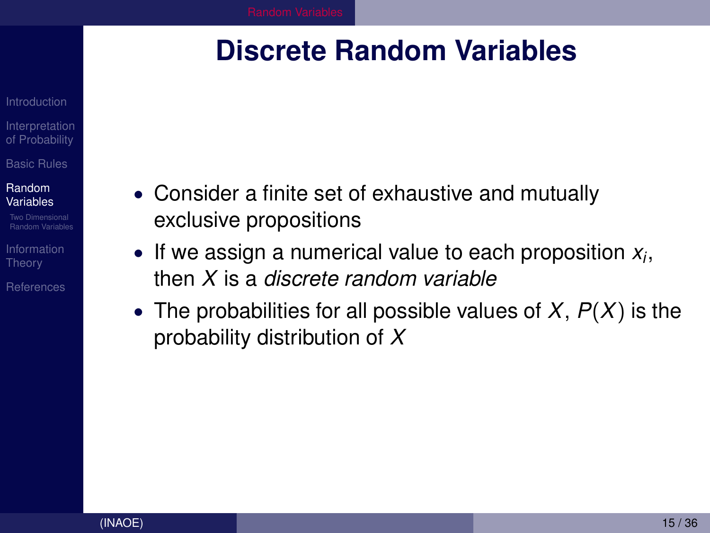### <span id="page-14-0"></span>**Discrete Random Variables**

- **[Interpretation](#page-3-0)** of Probability [Basic Rules](#page-7-0)
- Random [Variables](#page-14-0)
- Two Dimensional [Random Variables](#page-22-0)
- **Theory**
- [References](#page-34-0)
- Consider a finite set of exhaustive and mutually exclusive propositions
- If we assign a numerical value to each proposition *x<sup>i</sup>* , then *X* is a *discrete random variable*
- The probabilities for all possible values of *X*, *P*(*X*) is the probability distribution of *X*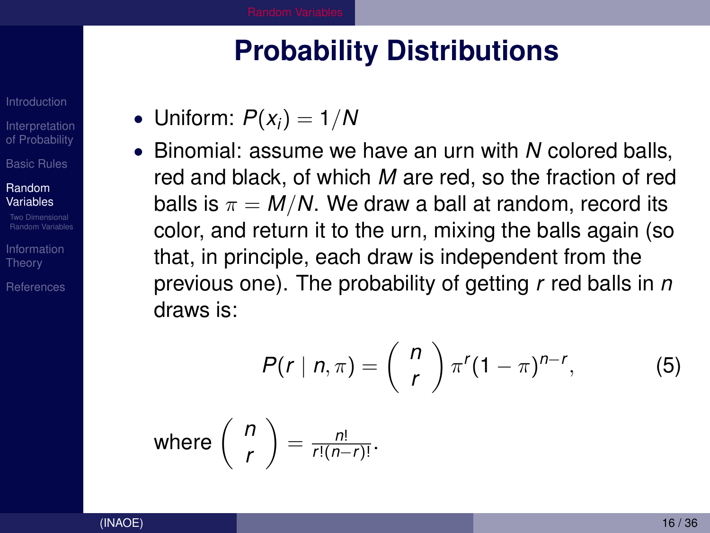### **Probability Distributions**

- <span id="page-15-0"></span>• Uniform:  $P(x_i) = 1/N$
- Binomial: assume we have an urn with *N* colored balls, red and black, of which *M* are red, so the fraction of red balls is  $\pi = M/N$ . We draw a ball at random, record its color, and return it to the urn, mixing the balls again (so that, in principle, each draw is independent from the previous one). The probability of getting *r* red balls in *n* draws is:

$$
P(r | n, \pi) = {n \choose r} \pi^r (1-\pi)^{n-r}, \qquad (5)
$$

where 
$$
\binom{n}{r} = \frac{n!}{r!(n-r)!}
$$
.

[Interpretation](#page-3-0) of Probability [Basic Rules](#page-7-0) Random [Variables](#page-14-0) [Random Variables](#page-22-0) **Theory** [References](#page-34-0)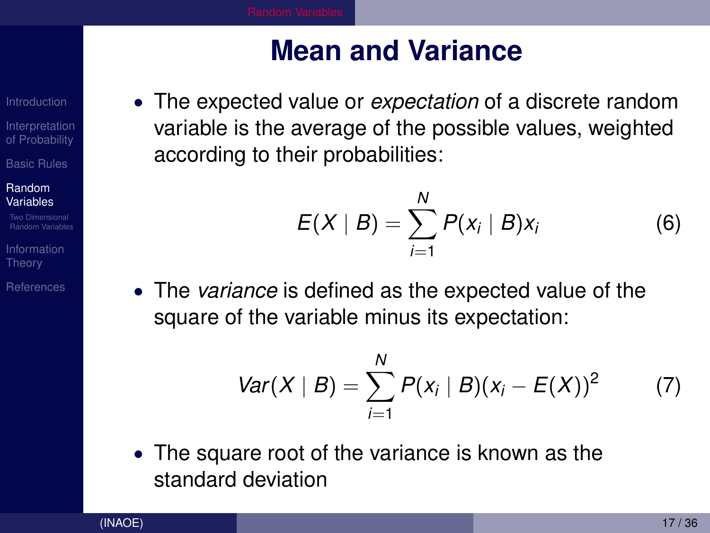## **Mean and Variance**

[Interpretation](#page-3-0) of Probability

[Basic Rules](#page-7-0)

#### Random [Variables](#page-14-0)

[Random Variables](#page-22-0)

**Theory** 

[References](#page-34-0)

<span id="page-16-0"></span>• The expected value or *expectation* of a discrete random variable is the average of the possible values, weighted according to their probabilities:

$$
E(X | B) = \sum_{i=1}^{N} P(x_i | B) x_i
$$
 (6)

• The *variance* is defined as the expected value of the square of the variable minus its expectation:

$$
Var(X | B) = \sum_{i=1}^{N} P(x_i | B)(x_i - E(X))^2
$$
 (7)

• The square root of the variance is known as the standard deviation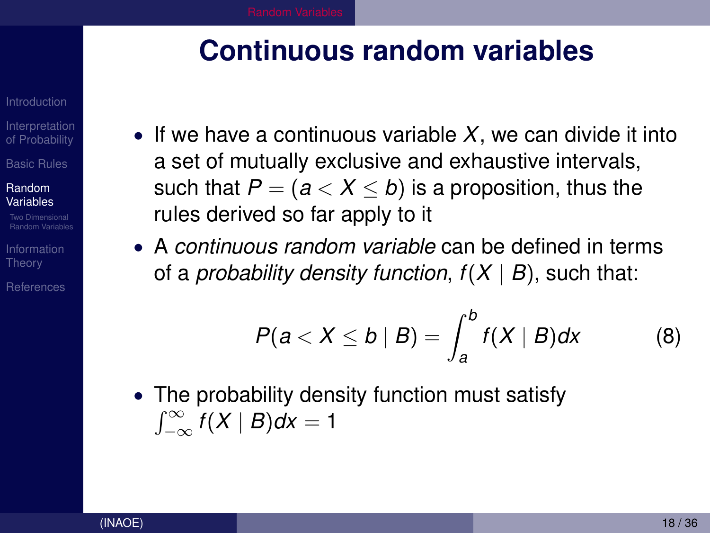### <span id="page-17-0"></span>**Continuous random variables**

[Interpretation](#page-3-0) of Probability [Basic Rules](#page-7-0)

Random [Variables](#page-14-0)

[Random Variables](#page-22-0)

**Theory** 

[References](#page-34-0)

- If we have a continuous variable *X*, we can divide it into a set of mutually exclusive and exhaustive intervals, such that  $P = (a < X < b)$  is a proposition, thus the rules derived so far apply to it
- A *continuous random variable* can be defined in terms of a *probability density function,*  $f(X | B)$ *, such that:*

$$
P(a < X \le b \mid B) = \int_{a}^{b} f(X \mid B) dx \qquad (8)
$$

• The probability density function must satisfy  $\int_{-\infty}^{\infty} f(X | B) dx = 1$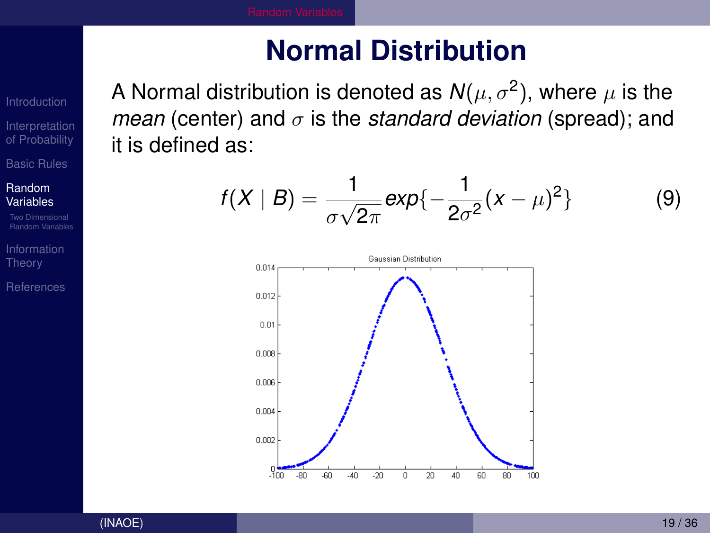## **Normal Distribution**

<span id="page-18-0"></span>A Normal distribution is denoted as  $\mathcal{N}(\mu, \sigma^2),$  where  $\mu$  is the *mean* (center) and  $\sigma$  is the *standard deviation* (spread); and it is defined as:

$$
f(X \mid B) = \frac{1}{\sigma\sqrt{2\pi}}exp{-\frac{1}{2\sigma^{2}}(x-\mu)^{2}}
$$
 (9)



[Interpretation](#page-3-0) of Probability [Basic Rules](#page-7-0)

Random [Variables](#page-14-0)

Dimensional [Random Variables](#page-22-0)

**Theory** 

[References](#page-34-0)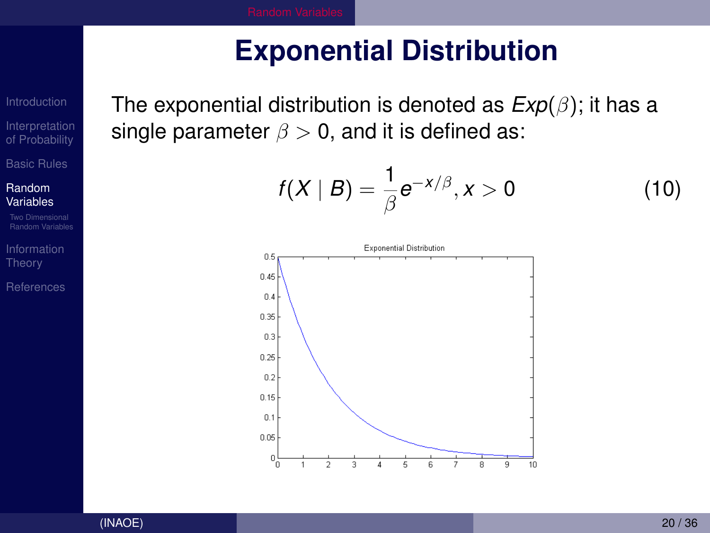# **Exponential Distribution**

[Interpretation](#page-3-0) of Probability [Basic Rules](#page-7-0)

Random [Variables](#page-14-0)

Theory

[References](#page-34-0)

<span id="page-19-0"></span>The exponential distribution is denoted as *Exp*(β); it has a single parameter  $\beta > 0$ , and it is defined as:

$$
f(X \mid B) = \frac{1}{\beta} e^{-x/\beta}, x > 0
$$
 (10)

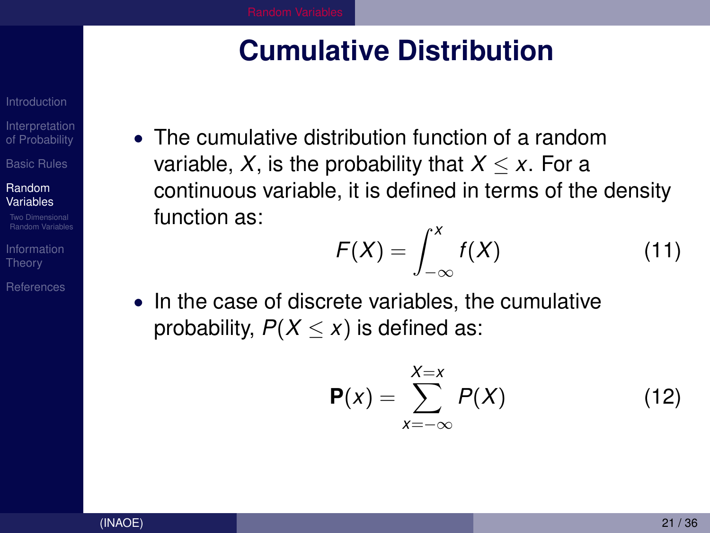### **Cumulative Distribution**

**[Interpretation](#page-3-0)** of Probability [Basic Rules](#page-7-0)

Random [Variables](#page-14-0)

[Random Variables](#page-22-0)

**Theory** 

[References](#page-34-0)

<span id="page-20-0"></span>• The cumulative distribution function of a random variable, X, is the probability that  $X \leq x$ . For a continuous variable, it is defined in terms of the density function as:

$$
F(X) = \int_{-\infty}^{X} f(X) \tag{11}
$$

• In the case of discrete variables, the cumulative probability,  $P(X \leq x)$  is defined as:

$$
\mathsf{P}(x) = \sum_{x=-\infty}^{X=x} P(X) \tag{12}
$$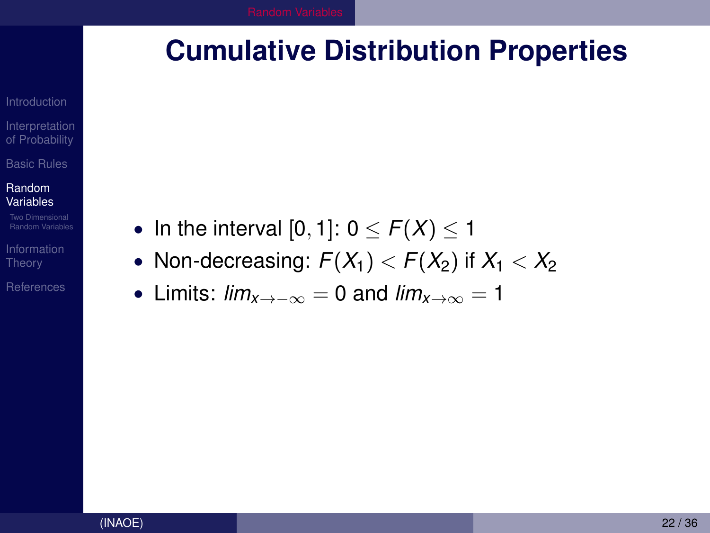### <span id="page-21-0"></span>**Cumulative Distribution Properties**

[Interpretation](#page-3-0) of Probability [Basic Rules](#page-7-0)

Random [Variables](#page-14-0)

Theory

[References](#page-34-0)

• In the interval  $[0, 1]$ :  $0 \le F(X) \le 1$ 

- Non-decreasing:  $F(X_1) < F(X_2)$  if  $X_1 < X_2$
- Limits:  $lim_{x\to -\infty}$  = 0 and  $lim_{x\to\infty}$  = 1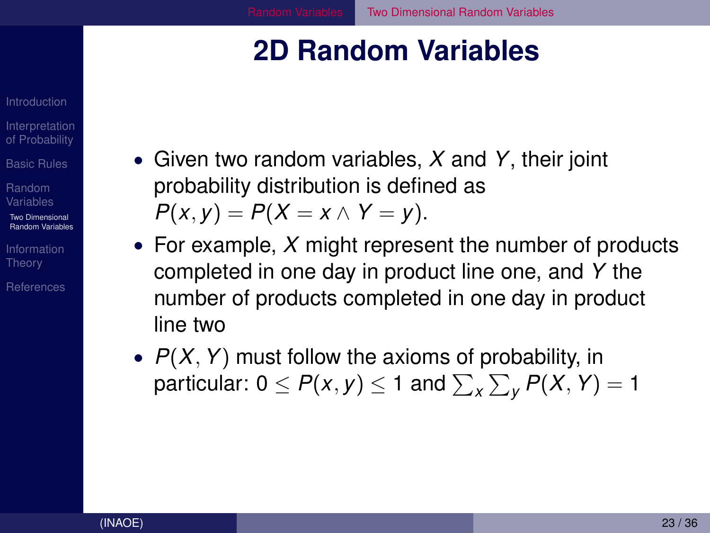### <span id="page-22-0"></span>**2D Random Variables**

**[Interpretation](#page-3-0)** of Probability

[Basic Rules](#page-7-0)

Random [Variables](#page-14-0)

Two Dimensional [Random Variables](#page-22-0)

**Theory** 

[References](#page-34-0)

- Given two random variables, *X* and *Y*, their joint probability distribution is defined as  $P(x, y) = P(X = x \land Y = y).$
- For example, *X* might represent the number of products completed in one day in product line one, and *Y* the number of products completed in one day in product line two
- *P*(*X*, *Y*) must follow the axioms of probability, in particular: 0  $\leq$   $P(x,y)$   $\leq$  1 and  $\sum_{x}\sum_{y}P(X,Y) = 1$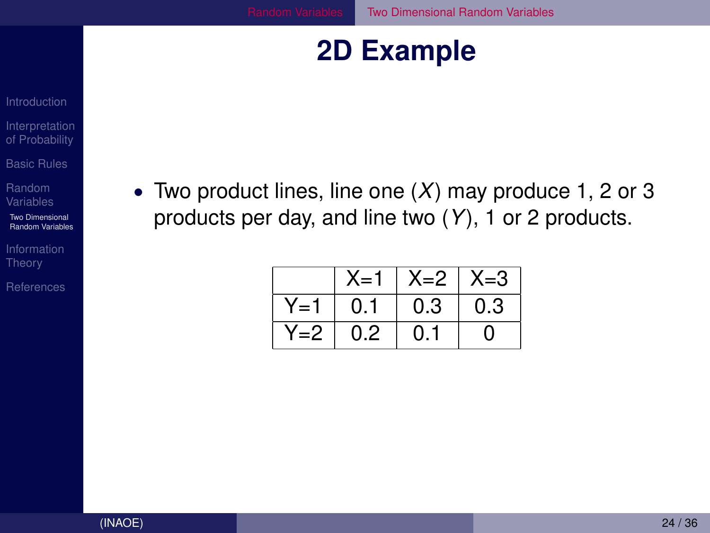### **2D Example**

- <span id="page-23-0"></span>[Interpretation](#page-3-0) of Probability
- [Basic Rules](#page-7-0)
- Random
- Two Dimensional [Random Variables](#page-22-0)
- [Information](#page-27-0) Theory
- [References](#page-34-0)

• Two product lines, line one (*X*) may produce 1, 2 or 3 products per day, and line two (*Y*), 1 or 2 products.

|       | X=1 | $X=2$ | $X = 3$ |
|-------|-----|-------|---------|
| Y=1   | 0.1 | 0.3   | 0.3     |
| $Y=2$ | 0.2 | 0.1   | O)      |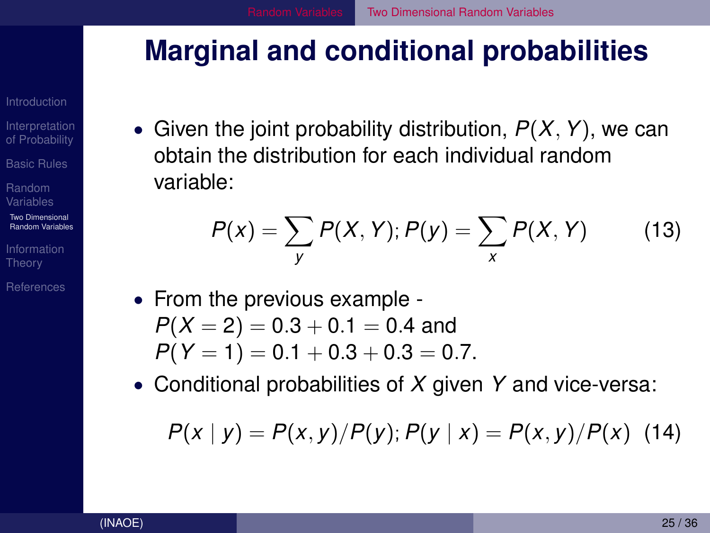### <span id="page-24-0"></span>**Marginal and conditional probabilities**

**[Interpretation](#page-3-0)** of Probability

[Basic Rules](#page-7-0)

Random [Variables](#page-14-0)

Two Dimensional [Random Variables](#page-22-0)

[Information](#page-27-0) **Theory** 

[References](#page-34-0)

• Given the joint probability distribution, *P*(*X*, *Y*), we can obtain the distribution for each individual random variable:

$$
P(x) = \sum_{y} P(X, Y); P(y) = \sum_{x} P(X, Y)
$$
 (13)

- From the previous example  $P(X = 2) = 0.3 + 0.1 = 0.4$  and  $P(Y = 1) = 0.1 + 0.3 + 0.3 = 0.7$ .
- Conditional probabilities of *X* given *Y* and vice-versa:

$$
P(x | y) = P(x, y) / P(y); P(y | x) = P(x, y) / P(x)
$$
 (14)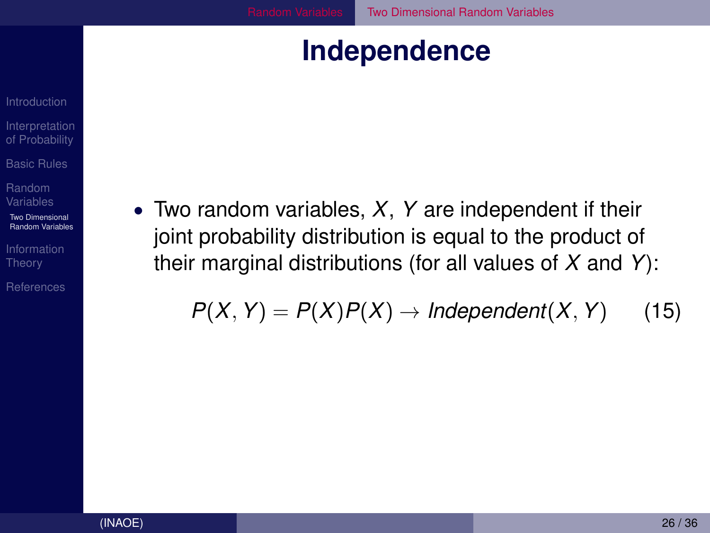### **Independence**

<span id="page-25-0"></span>[Interpretation](#page-3-0) of Probability [Basic Rules](#page-7-0)

Random

Two Dimensional [Random Variables](#page-22-0)

Theory

[References](#page-34-0)

• Two random variables, *X*, *Y* are independent if their joint probability distribution is equal to the product of their marginal distributions (for all values of *X* and *Y*):

$$
P(X, Y) = P(X)P(X) \rightarrow Independent(X, Y)
$$
 (15)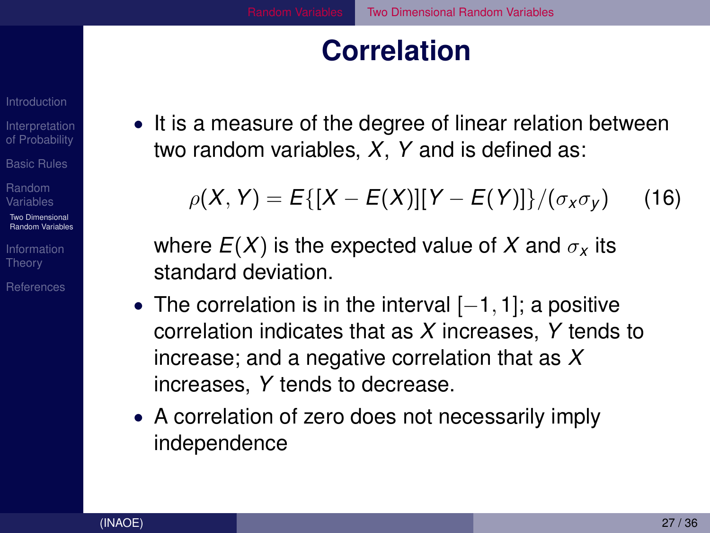### **Correlation**

[Interpretation](#page-3-0) of Probability

[Basic Rules](#page-7-0)

Random [Variables](#page-14-0)

Two Dimensional [Random Variables](#page-22-0)

**Theory** 

[References](#page-34-0)

<span id="page-26-0"></span>• It is a measure of the degree of linear relation between two random variables, *X*, *Y* and is defined as:

$$
\rho(X, Y) = E\{[X - E(X)][Y - E(Y)]\}/(\sigma_X \sigma_Y)
$$
 (16)

where  $E(X)$  is the expected value of X and  $\sigma_X$  its standard deviation.

- The correlation is in the interval [−1, 1]; a positive correlation indicates that as *X* increases, *Y* tends to increase; and a negative correlation that as *X* increases, *Y* tends to decrease.
- A correlation of zero does not necessarily imply independence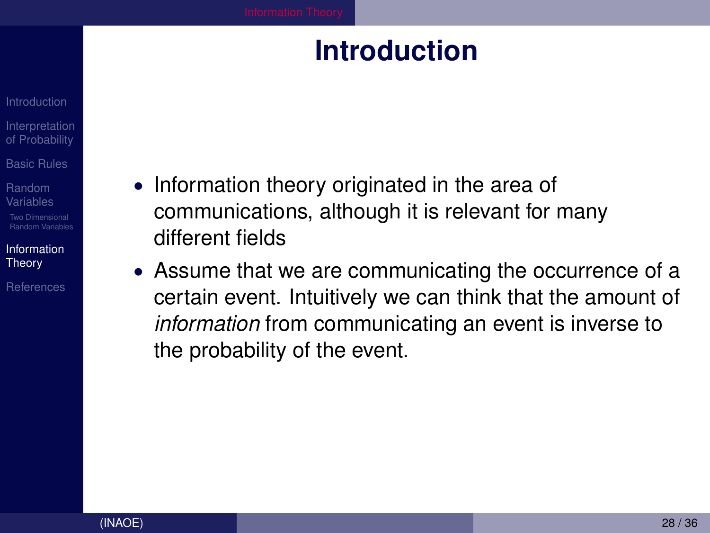### **Introduction**

- <span id="page-27-0"></span>**[Interpretation](#page-3-0)** of Probability
- [Basic Rules](#page-7-0)
- Random [Variables](#page-14-0)
- [Random Variables](#page-22-0)
- [Information](#page-27-0) Theory
- [References](#page-34-0)
- Information theory originated in the area of communications, although it is relevant for many different fields
- Assume that we are communicating the occurrence of a certain event. Intuitively we can think that the amount of *information* from communicating an event is inverse to the probability of the event.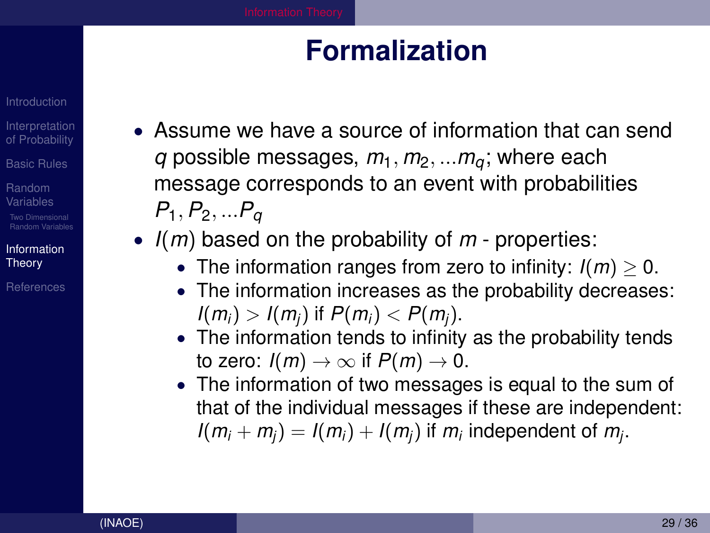### **Formalization**

- **[Interpretation](#page-3-0)** of Probability
- [Basic Rules](#page-7-0)
- Random [Variables](#page-14-0)
- [Random Variables](#page-22-0)
- [Information](#page-27-0) **Theory**
- **[References](#page-34-0)**
- <span id="page-28-0"></span>• Assume we have a source of information that can send *q* possible messages,  $m_1$ ,  $m_2$ , ... $m_a$ ; where each message corresponds to an event with probabilities *P*1, *P*2, ...*P<sup>q</sup>*
- *I*(*m*) based on the probability of *m* properties:
	- The information ranges from zero to infinity:  $I(m) > 0$ .
	- The information increases as the probability decreases:  $I(m_i) > I(m_i)$  if  $P(m_i) < P(m_i)$ .
	- The information tends to infinity as the probability tends to zero:  $I(m) \rightarrow \infty$  if  $P(m) \rightarrow 0$ .
	- The information of two messages is equal to the sum of that of the individual messages if these are independent:  $I(m_i + m_j) = I(m_i) + I(m_j)$  if  $m_i$  independent of  $m_j$ .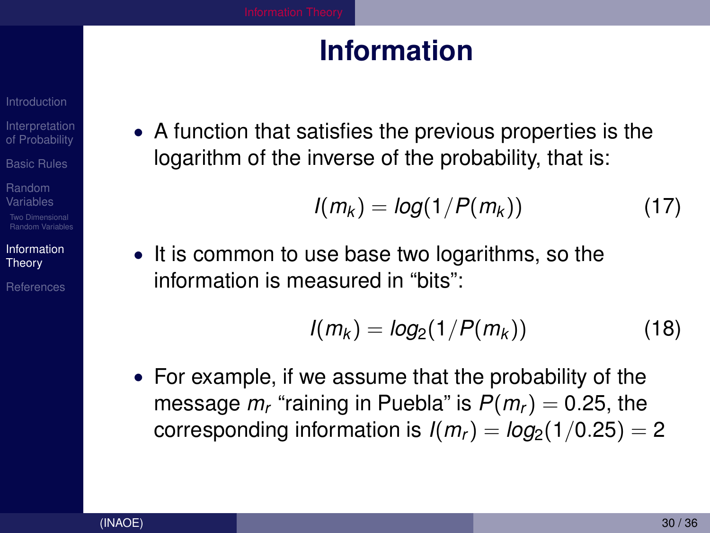### **Information**

- [Interpretation](#page-3-0) of Probability
- [Basic Rules](#page-7-0)
- Random [Variables](#page-14-0) [Random Variables](#page-22-0)
- [Information](#page-27-0) Theory
- [References](#page-34-0)

<span id="page-29-0"></span>• A function that satisfies the previous properties is the logarithm of the inverse of the probability, that is:

$$
I(m_k) = log(1/P(m_k))
$$
 (17)

• It is common to use base two logarithms, so the information is measured in "bits":

$$
I(m_k) = log_2(1/P(m_k))
$$
 (18)

• For example, if we assume that the probability of the message  $m_r$  "raining in Puebla" is  $P(m_r) = 0.25$ , the corresponding information is  $I(m_r) = log_2(1/0.25) = 2$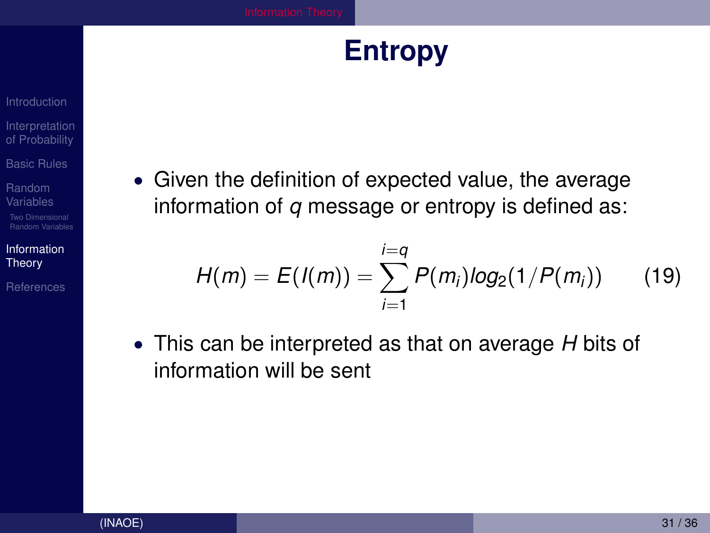### **Entropy**

### <span id="page-30-0"></span>[Interpretation](#page-3-0) of Probability

[Basic Rules](#page-7-0)

Random [Variables](#page-14-0)

Two Dimensional [Random Variables](#page-22-0)

[Information](#page-27-0) Theory

[References](#page-34-0)

• Given the definition of expected value, the average information of *q* message or entropy is defined as:

$$
H(m) = E(I(m)) = \sum_{i=1}^{i=q} P(m_i) log_2(1/P(m_i))
$$
 (19)

• This can be interpreted as that on average *H* bits of information will be sent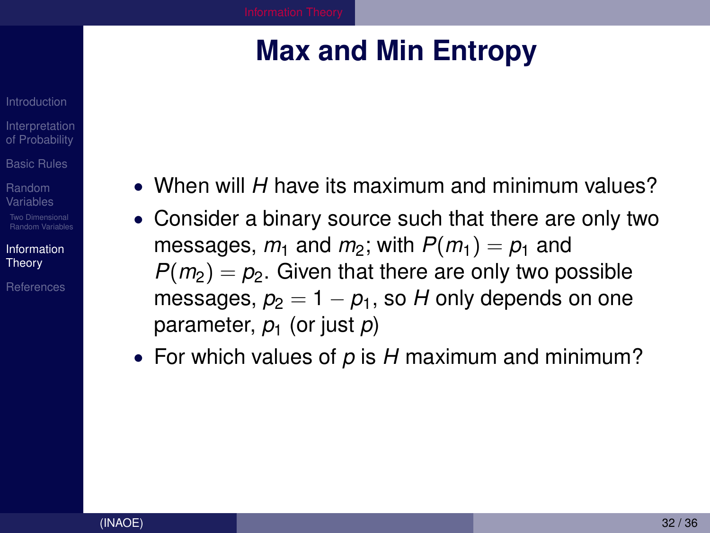# **Max and Min Entropy**

- <span id="page-31-0"></span>**[Interpretation](#page-3-0)** of Probability
- [Basic Rules](#page-7-0)
- Random [Variables](#page-14-0)
- [Random Variables](#page-22-0)
- [Information](#page-27-0) **Theory**
- [References](#page-34-0)
- When will *H* have its maximum and minimum values?
- Consider a binary source such that there are only two messages,  $m_1$  and  $m_2$ ; with  $P(m_1) = p_1$  and  $P(m_2) = p_2$ . Given that there are only two possible messages,  $p_2 = 1 - p_1$ , so H only depends on one parameter, *p*<sup>1</sup> (or just *p*)
- For which values of *p* is *H* maximum and minimum?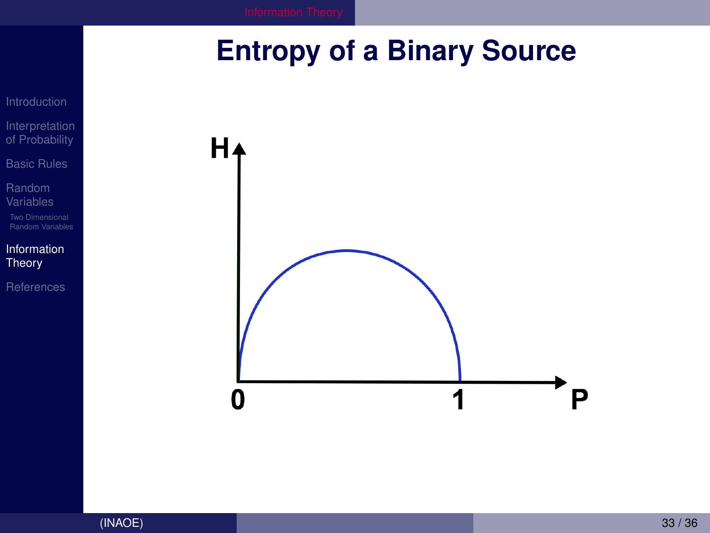# <span id="page-32-0"></span>**Entropy of a Binary Source**



[Introduction](#page-2-0) [Interpretation](#page-3-0) of Probability [Basic Rules](#page-7-0)

Random [Variables](#page-14-0)

[Random Variables](#page-22-0)

[Information](#page-27-0) Theory

[References](#page-34-0)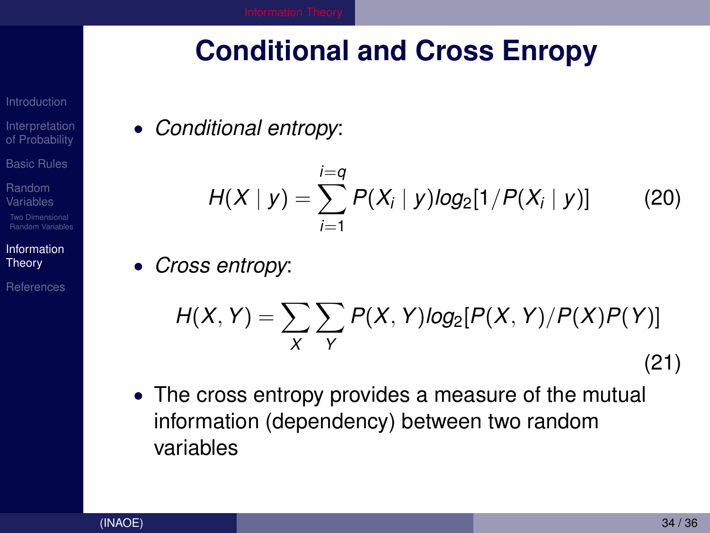# <span id="page-33-0"></span>**Conditional and Cross Enropy**

- [Interpretation](#page-3-0) of Probability
- [Basic Rules](#page-7-0)
- Random [Variables](#page-14-0)
- [Random Variables](#page-22-0)
- [Information](#page-27-0) **Theory**

[References](#page-34-0)

• *Conditional entropy*:

$$
H(X | y) = \sum_{i=1}^{i=q} P(X_i | y) log_2[1/P(X_i | y)] \qquad (20)
$$

• *Cross entropy*:

$$
H(X,Y) = \sum_{X} \sum_{Y} P(X,Y) \log_2[P(X,Y)/P(X)P(Y)]
$$
\n(21)

• The cross entropy provides a measure of the mutual information (dependency) between two random variables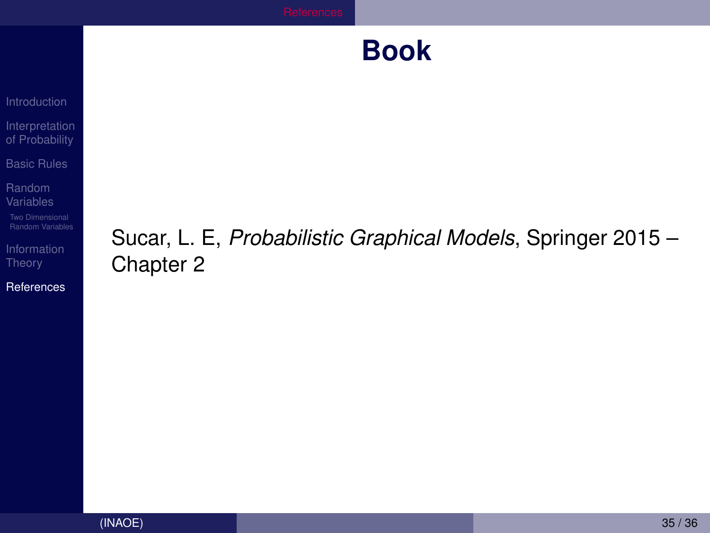### **Book**

<span id="page-34-0"></span>[Introduction](#page-2-0) [Interpretation](#page-3-0) of Probability

[Basic Rules](#page-7-0)

Random [Variables](#page-14-0)

[Random Variables](#page-22-0)

[Information](#page-27-0)

[References](#page-34-0)

### Sucar, L. E, *Probabilistic Graphical Models*, Springer 2015 – Chapter 2